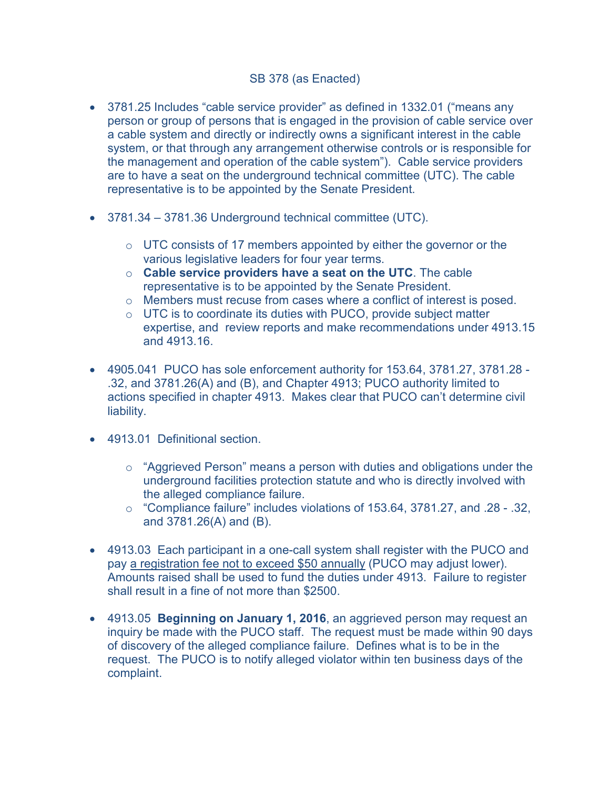## SB 378 (as Enacted)

- 3781.25 Includes "cable service provider" as defined in 1332.01 ("means any person or group of persons that is engaged in the provision of cable service over a cable system and directly or indirectly owns a significant interest in the cable system, or that through any arrangement otherwise controls or is responsible for the management and operation of the cable system"). Cable service providers are to have a seat on the underground technical committee (UTC). The cable representative is to be appointed by the Senate President.
- 3781.34 3781.36 Underground technical committee (UTC).
	- $\circ$  UTC consists of 17 members appointed by either the governor or the various legislative leaders for four year terms.
	- o **Cable service providers have a seat on the UTC**. The cable representative is to be appointed by the Senate President.
	- $\circ$  Members must recuse from cases where a conflict of interest is posed.
	- $\circ$  UTC is to coordinate its duties with PUCO, provide subject matter expertise, and review reports and make recommendations under 4913.15 and 4913.16.
- 4905.041 PUCO has sole enforcement authority for 153.64, 3781.27, 3781.28 .32, and 3781.26(A) and (B), and Chapter 4913; PUCO authority limited to actions specified in chapter 4913. Makes clear that PUCO can't determine civil liability.
- 4913.01 Definitional section.
	- o "Aggrieved Person" means a person with duties and obligations under the underground facilities protection statute and who is directly involved with the alleged compliance failure.
	- o "Compliance failure" includes violations of 153.64, 3781.27, and .28 .32, and 3781.26(A) and (B).
- 4913.03 Each participant in a one-call system shall register with the PUCO and pay a registration fee not to exceed \$50 annually (PUCO may adjust lower). Amounts raised shall be used to fund the duties under 4913. Failure to register shall result in a fine of not more than \$2500.
- 4913.05 **Beginning on January 1, 2016**, an aggrieved person may request an inquiry be made with the PUCO staff. The request must be made within 90 days of discovery of the alleged compliance failure. Defines what is to be in the request. The PUCO is to notify alleged violator within ten business days of the complaint.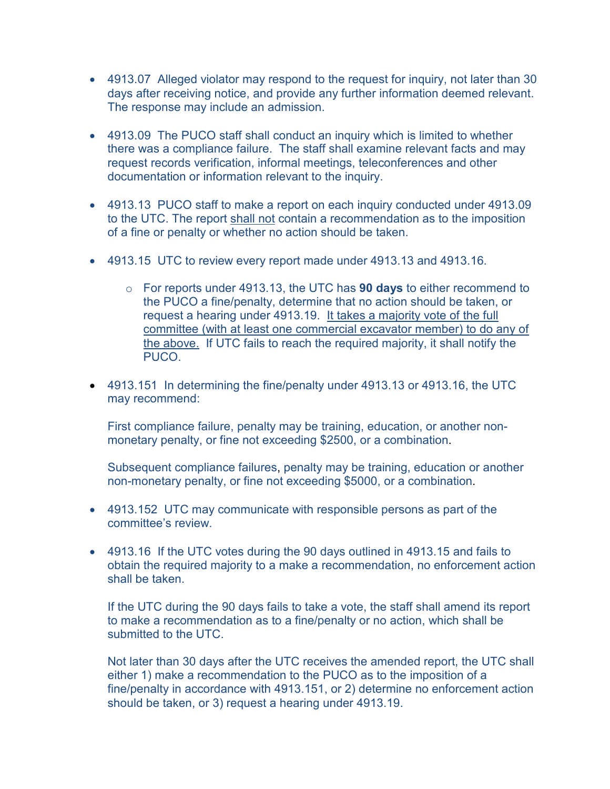- 4913.07 Alleged violator may respond to the request for inquiry, not later than 30 days after receiving notice, and provide any further information deemed relevant. The response may include an admission.
- 4913.09 The PUCO staff shall conduct an inquiry which is limited to whether there was a compliance failure. The staff shall examine relevant facts and may request records verification, informal meetings, teleconferences and other documentation or information relevant to the inquiry.
- 4913.13 PUCO staff to make a report on each inquiry conducted under 4913.09 to the UTC. The report shall not contain a recommendation as to the imposition of a fine or penalty or whether no action should be taken.
- 4913.15 UTC to review every report made under 4913.13 and 4913.16.
	- o For reports under 4913.13, the UTC has **90 days** to either recommend to the PUCO a fine/penalty, determine that no action should be taken, or request a hearing under 4913.19. It takes a majority vote of the full committee (with at least one commercial excavator member) to do any of the above. If UTC fails to reach the required majority, it shall notify the PUCO.
- 4913.151 In determining the fine/penalty under 4913.13 or 4913.16, the UTC may recommend:

First compliance failure, penalty may be training, education, or another nonmonetary penalty, or fine not exceeding \$2500, or a combination.

Subsequent compliance failures, penalty may be training, education or another non-monetary penalty, or fine not exceeding \$5000, or a combination.

- 4913.152 UTC may communicate with responsible persons as part of the committee's review.
- 4913.16 If the UTC votes during the 90 days outlined in 4913.15 and fails to obtain the required majority to a make a recommendation, no enforcement action shall be taken.

If the UTC during the 90 days fails to take a vote, the staff shall amend its report to make a recommendation as to a fine/penalty or no action, which shall be submitted to the UTC.

Not later than 30 days after the UTC receives the amended report, the UTC shall either 1) make a recommendation to the PUCO as to the imposition of a fine/penalty in accordance with 4913.151, or 2) determine no enforcement action should be taken, or 3) request a hearing under 4913.19.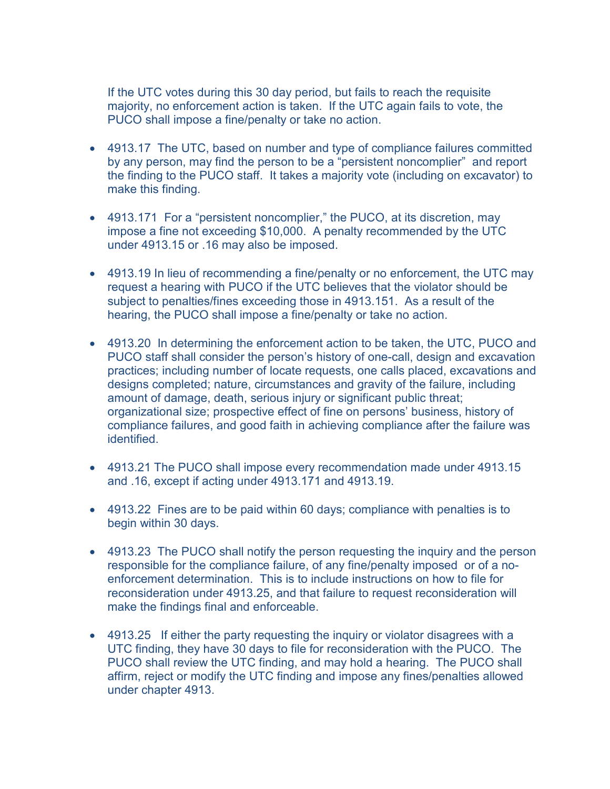If the UTC votes during this 30 day period, but fails to reach the requisite majority, no enforcement action is taken. If the UTC again fails to vote, the PUCO shall impose a fine/penalty or take no action.

- 4913.17 The UTC, based on number and type of compliance failures committed by any person, may find the person to be a "persistent noncomplier" and report the finding to the PUCO staff. It takes a majority vote (including on excavator) to make this finding.
- 4913.171 For a "persistent noncomplier," the PUCO, at its discretion, may impose a fine not exceeding \$10,000. A penalty recommended by the UTC under 4913.15 or .16 may also be imposed.
- 4913.19 In lieu of recommending a fine/penalty or no enforcement, the UTC may request a hearing with PUCO if the UTC believes that the violator should be subject to penalties/fines exceeding those in 4913.151. As a result of the hearing, the PUCO shall impose a fine/penalty or take no action.
- 4913.20 In determining the enforcement action to be taken, the UTC, PUCO and PUCO staff shall consider the person's history of one-call, design and excavation practices; including number of locate requests, one calls placed, excavations and designs completed; nature, circumstances and gravity of the failure, including amount of damage, death, serious injury or significant public threat; organizational size; prospective effect of fine on persons' business, history of compliance failures, and good faith in achieving compliance after the failure was identified.
- 4913.21 The PUCO shall impose every recommendation made under 4913.15 and .16, except if acting under 4913.171 and 4913.19.
- 4913.22 Fines are to be paid within 60 days; compliance with penalties is to begin within 30 days.
- 4913.23 The PUCO shall notify the person requesting the inquiry and the person responsible for the compliance failure, of any fine/penalty imposed or of a noenforcement determination. This is to include instructions on how to file for reconsideration under 4913.25, and that failure to request reconsideration will make the findings final and enforceable.
- 4913.25 If either the party requesting the inquiry or violator disagrees with a UTC finding, they have 30 days to file for reconsideration with the PUCO. The PUCO shall review the UTC finding, and may hold a hearing. The PUCO shall affirm, reject or modify the UTC finding and impose any fines/penalties allowed under chapter 4913.